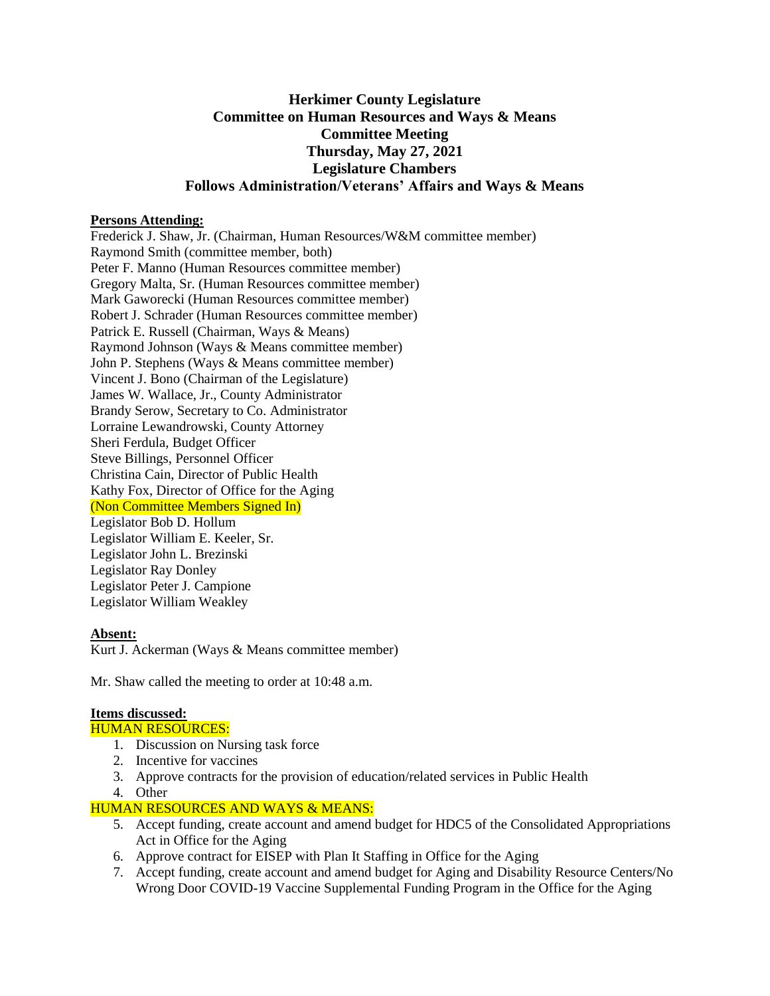# **Herkimer County Legislature Committee on Human Resources and Ways & Means Committee Meeting Thursday, May 27, 2021 Legislature Chambers Follows Administration/Veterans' Affairs and Ways & Means**

### **Persons Attending:**

Frederick J. Shaw, Jr. (Chairman, Human Resources/W&M committee member) Raymond Smith (committee member, both) Peter F. Manno (Human Resources committee member) Gregory Malta, Sr. (Human Resources committee member) Mark Gaworecki (Human Resources committee member) Robert J. Schrader (Human Resources committee member) Patrick E. Russell (Chairman, Ways & Means) Raymond Johnson (Ways & Means committee member) John P. Stephens (Ways & Means committee member) Vincent J. Bono (Chairman of the Legislature) James W. Wallace, Jr., County Administrator Brandy Serow, Secretary to Co. Administrator Lorraine Lewandrowski, County Attorney Sheri Ferdula, Budget Officer Steve Billings, Personnel Officer Christina Cain, Director of Public Health Kathy Fox, Director of Office for the Aging (Non Committee Members Signed In) Legislator Bob D. Hollum Legislator William E. Keeler, Sr. Legislator John L. Brezinski Legislator Ray Donley Legislator Peter J. Campione Legislator William Weakley

### **Absent:**

Kurt J. Ackerman (Ways & Means committee member)

Mr. Shaw called the meeting to order at 10:48 a.m.

### **Items discussed:**

#### HUMAN RESOURCES:

- 1. Discussion on Nursing task force
- 2. Incentive for vaccines
- 3. Approve contracts for the provision of education/related services in Public Health
- 4. Other

### HUMAN RESOURCES AND WAYS & MEANS:

- 5. Accept funding, create account and amend budget for HDC5 of the Consolidated Appropriations Act in Office for the Aging
- 6. Approve contract for EISEP with Plan It Staffing in Office for the Aging
- 7. Accept funding, create account and amend budget for Aging and Disability Resource Centers/No Wrong Door COVID-19 Vaccine Supplemental Funding Program in the Office for the Aging